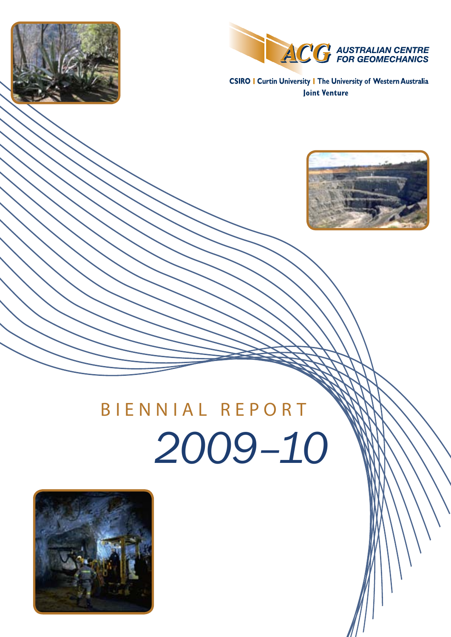



**CSIRO | Curtin University | The University of Western Australia Joint Venture** 



# *2009–10* BIENNIAL REPORT

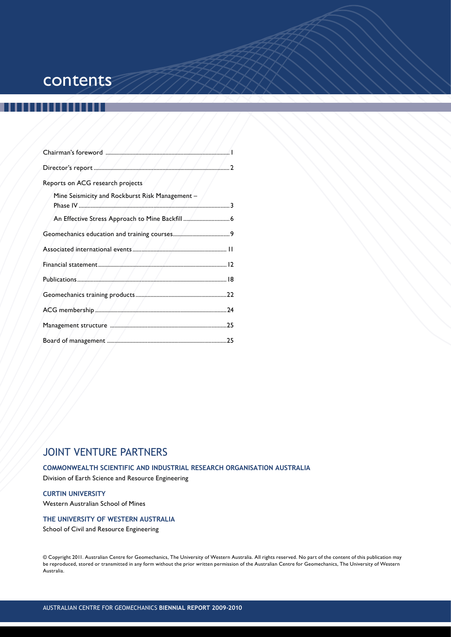## **contents**

|                                                 | $\cdot$ . 2 |
|-------------------------------------------------|-------------|
| Reports on ACG research projects                |             |
| Mine Seismicity and Rockburst Risk Management - |             |
|                                                 |             |
|                                                 |             |
|                                                 |             |
|                                                 |             |
|                                                 |             |
|                                                 |             |
|                                                 |             |
|                                                 |             |
|                                                 |             |

## Joint Venture Partners

## **Commonwealth Scientific and Industrial Research Organisation Australia**

Division of Earth Science and Resource Engineering

## **Curtin University**

Western Australian School of Mines

## **The University of Western Australia**

School of Civil and Resource Engineering

© Copyright 2011. Australian Centre for Geomechanics, The University of Western Australia. All rights reserved. No part of the content of this publication may be reproduced, stored or transmitted in any form without the prior written permission of the Australian Centre for Geomechanics, The University of Western Australia.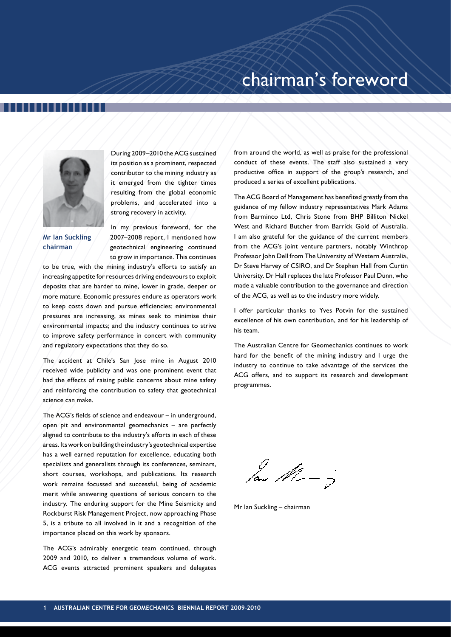

During 2009–2010 the ACG sustained its position as a prominent, respected contributor to the mining industry as it emerged from the tighter times resulting from the global economic problems, and accelerated into a strong recovery in activity.

**Mr Ian Suckling chairman**

In my previous foreword, for the 2007–2008 report, I mentioned how geotechnical engineering continued to grow in importance. This continues

to be true, with the mining industry's efforts to satisfy an increasing appetite for resources driving endeavours to exploit deposits that are harder to mine, lower in grade, deeper or more mature. Economic pressures endure as operators work to keep costs down and pursue efficiencies; environmental pressures are increasing, as mines seek to minimise their environmental impacts; and the industry continues to strive to improve safety performance in concert with community and regulatory expectations that they do so.

The accident at Chile's San Jose mine in August 2010 received wide publicity and was one prominent event that had the effects of raising public concerns about mine safety and reinforcing the contribution to safety that geotechnical science can make.

The ACG's fields of science and endeavour – in underground, open pit and environmental geomechanics – are perfectly aligned to contribute to the industry's efforts in each of these areas. Its work on building the industry's geotechnical expertise has a well earned reputation for excellence, educating both specialists and generalists through its conferences, seminars, short courses, workshops, and publications. Its research work remains focussed and successful, being of academic merit while answering questions of serious concern to the industry. The enduring support for the Mine Seismicity and Rockburst Risk Management Project, now approaching Phase 5, is a tribute to all involved in it and a recognition of the importance placed on this work by sponsors.

The ACG's admirably energetic team continued, through 2009 and 2010, to deliver a tremendous volume of work. ACG events attracted prominent speakers and delegates

from around the world, as well as praise for the professional conduct of these events. The staff also sustained a very productive office in support of the group's research, and produced a series of excellent publications.

The ACG Board of Management has benefited greatly from the guidance of my fellow industry representatives Mark Adams from Barminco Ltd, Chris Stone from BHP Billiton Nickel West and Richard Butcher from Barrick Gold of Australia. I am also grateful for the guidance of the current members from the ACG's joint venture partners, notably Winthrop Professor John Dell from The University of Western Australia, Dr Steve Harvey of CSIRO, and Dr Stephen Hall from Curtin University. Dr Hall replaces the late Professor Paul Dunn, who made a valuable contribution to the governance and direction of the ACG, as well as to the industry more widely.

I offer particular thanks to Yves Potvin for the sustained excellence of his own contribution, and for his leadership of his team.

The Australian Centre for Geomechanics continues to work hard for the benefit of the mining industry and I urge the industry to continue to take advantage of the services the ACG offers, and to support its research and development programmes.

 $\frac{1}{\sqrt{2}}$ 

Mr Ian Suckling – chairman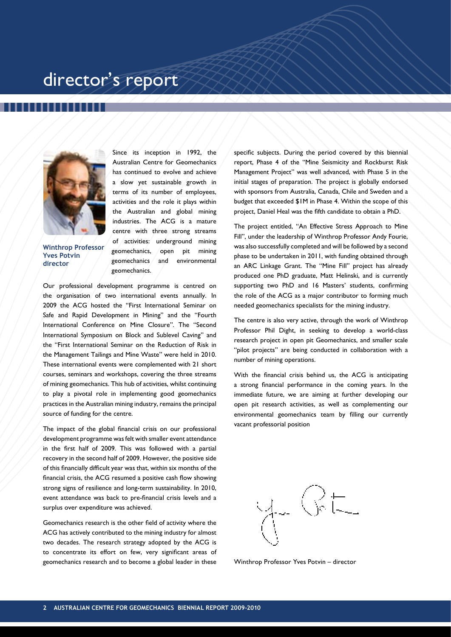## director's report



**Winthrop Professor Yves Potvin director**

Since its inception in 1992, the Australian Centre for Geomechanics has continued to evolve and achieve a slow yet sustainable growth in terms of its number of employees, activities and the role it plays within the Australian and global mining industries. The ACG is a mature centre with three strong streams of activities: underground mining geomechanics, open pit mining geomechanics and environmental geomechanics.

Our professional development programme is centred on the organisation of two international events annually. In 2009 the ACG hosted the "First International Seminar on Safe and Rapid Development in Mining" and the "Fourth International Conference on Mine Closure". The "Second International Symposium on Block and Sublevel Caving" and the "First International Seminar on the Reduction of Risk in the Management Tailings and Mine Waste" were held in 2010. These international events were complemented with 21 short courses, seminars and workshops, covering the three streams of mining geomechanics. This hub of activities, whilst continuing to play a pivotal role in implementing good geomechanics practices in the Australian mining industry, remains the principal source of funding for the centre.

The impact of the global financial crisis on our professional development programme was felt with smaller event attendance in the first half of 2009. This was followed with a partial recovery in the second half of 2009. However, the positive side of this financially difficult year was that, within six months of the financial crisis, the ACG resumed a positive cash flow showing strong signs of resilience and long-term sustainability. In 2010, event attendance was back to pre-financial crisis levels and a surplus over expenditure was achieved.

Geomechanics research is the other field of activity where the ACG has actively contributed to the mining industry for almost two decades. The research strategy adopted by the ACG is to concentrate its effort on few, very significant areas of geomechanics research and to become a global leader in these

specific subjects. During the period covered by this biennial report, Phase 4 of the "Mine Seismicity and Rockburst Risk Management Project" was well advanced, with Phase 5 in the initial stages of preparation. The project is globally endorsed with sponsors from Australia, Canada, Chile and Sweden and a budget that exceeded \$1M in Phase 4. Within the scope of this project, Daniel Heal was the fifth candidate to obtain a PhD.

The project entitled, "An Effective Stress Approach to Mine Fill", under the leadership of Winthrop Professor Andy Fourie, was also successfully completed and will be followed by a second phase to be undertaken in 2011, with funding obtained through an ARC Linkage Grant. The "Mine Fill" project has already produced one PhD graduate, Matt Helinski, and is currently supporting two PhD and 16 Masters' students, confirming the role of the ACG as a major contributor to forming much needed geomechanics specialists for the mining industry.

The centre is also very active, through the work of Winthrop Professor Phil Dight, in seeking to develop a world-class research project in open pit Geomechanics, and smaller scale "pilot projects" are being conducted in collaboration with a number of mining operations.

With the financial crisis behind us, the ACG is anticipating a strong financial performance in the coming years. In the immediate future, we are aiming at further developing our open pit research activities, as well as complementing our environmental geomechanics team by filling our currently vacant professorial position



Winthrop Professor Yves Potvin – director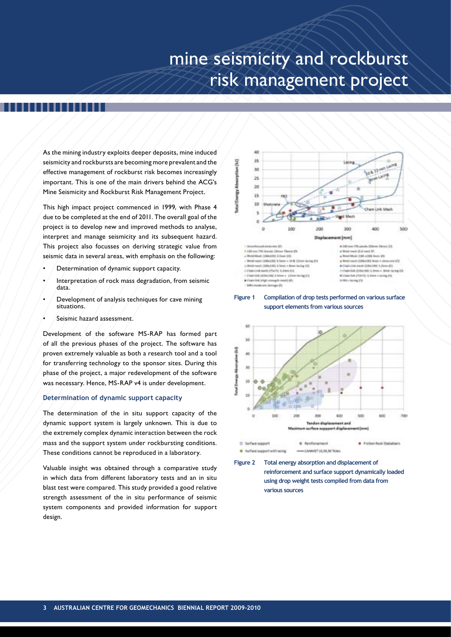## mine seismicity and rockburst risk management project

As the mining industry exploits deeper deposits, mine induced seismicity and rockbursts are becoming more prevalent and the effective management of rockburst risk becomes increasingly important. This is one of the main drivers behind the ACG's Mine Seismicity and Rockburst Risk Management Project.

This high impact project commenced in 1999, with Phase 4 due to be completed at the end of 2011. The overall goal of the project is to develop new and improved methods to analyse, interpret and manage seismicity and its subsequent hazard. This project also focusses on deriving strategic value from seismic data in several areas, with emphasis on the following:

- Determination of dynamic support capacity.
- Interpretation of rock mass degradation, from seismic data.
- Development of analysis techniques for cave mining situations.
- Seismic hazard assessment.

Development of the software MS-RAP has formed part of all the previous phases of the project. The software has proven extremely valuable as both a research tool and a tool for transferring technology to the sponsor sites. During this phase of the project, a major redevelopment of the software was necessary. Hence, MS-RAP v4 is under development.

## **Determination of dynamic support capacity**

The determination of the in situ support capacity of the dynamic support system is largely unknown. This is due to the extremely complex dynamic interaction between the rock mass and the support system under rockbursting conditions. These conditions cannot be reproduced in a laboratory.

Valuable insight was obtained through a comparative study in which data from different laboratory tests and an in situ blast test were compared. This study provided a good relative strength assessment of the in situ performance of seismic system components and provided information for support design.







**Figure 2 Total energy absorption and displacement of reinforcement and surface support dynamically loaded using drop weight tests compiled from data from various sources**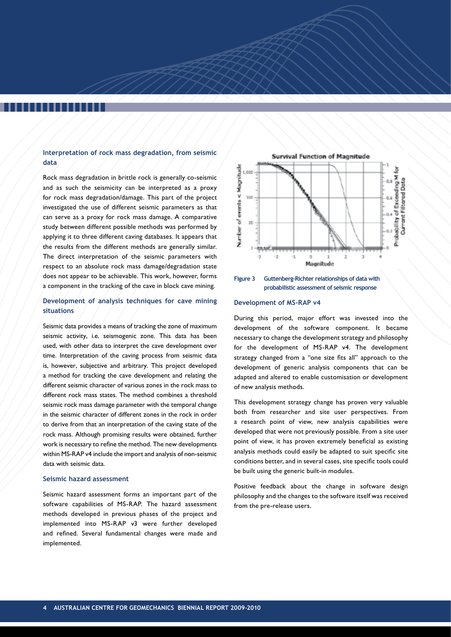## **Interpretation of rock mass degradation, from seismic data**

Rock mass degradation in brittle rock is generally co-seismic and as such the seismicity can be interpreted as a proxy for rock mass degradation/damage. This part of the project investigated the use of different seismic parameters as that can serve as a proxy for rock mass damage. A comparative study between different possible methods was performed by applying it to three different caving databases. It appears that the results from the different methods are generally similar. The direct interpretation of the seismic parameters with respect to an absolute rock mass damage/degradation state does not appear to be achievable. This work, however, forms a component in the tracking of the cave in block cave mining.

## **Development of analysis techniques for cave mining situations**

Seismic data provides a means of tracking the zone of maximum seismic activity, i.e. seismogenic zone. This data has been used, with other data to interpret the cave development over time. Interpretation of the caving process from seismic data is, however, subjective and arbitrary. This project developed a method for tracking the cave development and relating the different seismic character of various zones in the rock mass to different rock mass states. The method combines a threshold seismic rock mass damage parameter with the temporal change in the seismic character of different zones in the rock in order to derive from that an interpretation of the caving state of the rock mass. Although promising results were obtained, further work is necessary to refine the method. The new developments within MS-RAP v4 include the import and analysis of non-seismic data with seismic data.

### **Seismic hazard assessment**

Seismic hazard assessment forms an important part of the software capabilities of MS-RAP. The hazard assessment methods developed in previous phases of the project and implemented into MS-RAP v3 were further developed and refined. Several fundamental changes were made and implemented.





### **Development of MS-RAP v4**

During this period, major effort was invested into the development of the software component. It became necessary to change the development strategy and philosophy for the development of MS-RAP v4. The development strategy changed from a "one size fits all" approach to the development of generic analysis components that can be adapted and altered to enable customisation or development of new analysis methods.

This development strategy change has proven very valuable both from researcher and site user perspectives. From a research point of view, new analysis capabilities were developed that were not previously possible. From a site user point of view, it has proven extremely beneficial as existing analysis methods could easily be adapted to suit specific site conditions better, and in several cases, site specific tools could be built using the generic built-in modules.

Positive feedback about the change in software design philosophy and the changes to the software itself was received from the pre-release users.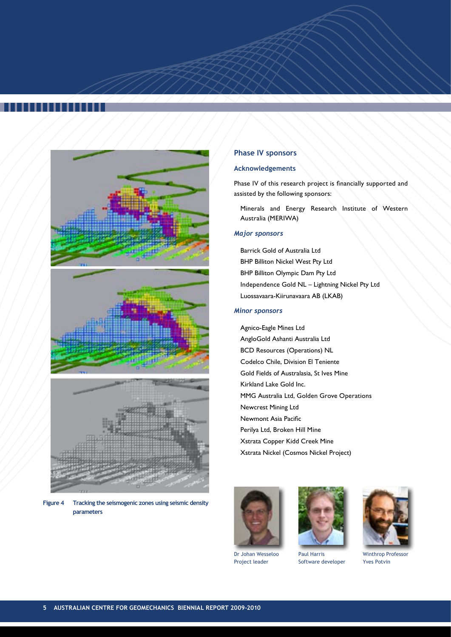





**Figure 4 Tracking the seismogenic zones using seismic density parameters**

## **Phase IV sponsors**

## **Acknowledgements**

Phase IV of this research project is financially supported and assisted by the following sponsors:

Minerals and Energy Research Institute of Western Australia (MERIWA)

## *Major sponsors*

Barrick Gold of Australia Ltd BHP Billiton Nickel West Pty Ltd BHP Billiton Olympic Dam Pty Ltd Independence Gold NL – Lightning Nickel Pty Ltd Luossavaara-Kiirunavaara AB (LKAB)

## *Minor sponsors*

Agnico-Eagle Mines Ltd AngloGold Ashanti Australia Ltd BCD Resources (Operations) NL Codelco Chile, Division El Teniente Gold Fields of Australasia, St Ives Mine Kirkland Lake Gold Inc. MMG Australia Ltd, Golden Grove Operations Newcrest Mining Ltd Newmont Asia Pacific Perilya Ltd, Broken Hill Mine Xstrata Copper Kidd Creek Mine Xstrata Nickel (Cosmos Nickel Project)



Dr Johan Wesseloo Project leader



Paul Harris Software developer



Winthrop Professor Yves Potvin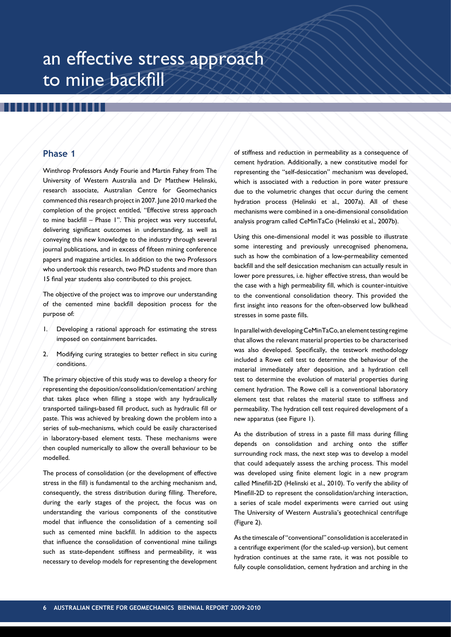## an effective stress approach to mine backfill

## **Phase 1**

Winthrop Professors Andy Fourie and Martin Fahey from The University of Western Australia and Dr Matthew Helinski, research associate, Australian Centre for Geomechanics commenced this research project in 2007. June 2010 marked the completion of the project entitled, "Effective stress approach to mine backfill – Phase 1". This project was very successful, delivering significant outcomes in understanding, as well as conveying this new knowledge to the industry through several journal publications, and in excess of fifteen mining conference papers and magazine articles. In addition to the two Professors who undertook this research, two PhD students and more than 15 final year students also contributed to this project.

The objective of the project was to improve our understanding of the cemented mine backfill deposition process for the purpose of:

- 1. Developing a rational approach for estimating the stress imposed on containment barricades.
- 2. Modifying curing strategies to better reflect in situ curing conditions.

The primary objective of this study was to develop a theory for representing the deposition/consolidation/cementation/ arching that takes place when filling a stope with any hydraulically transported tailings-based fill product, such as hydraulic fill or paste. This was achieved by breaking down the problem into a series of sub-mechanisms, which could be easily characterised in laboratory-based element tests. These mechanisms were then coupled numerically to allow the overall behaviour to be modelled.

The process of consolidation (or the development of effective stress in the fill) is fundamental to the arching mechanism and, consequently, the stress distribution during filling. Therefore, during the early stages of the project, the focus was on understanding the various components of the constitutive model that influence the consolidation of a cementing soil such as cemented mine backfill. In addition to the aspects that influence the consolidation of conventional mine tailings such as state-dependent stiffness and permeability, it was necessary to develop models for representing the development

of stiffness and reduction in permeability as a consequence of cement hydration. Additionally, a new constitutive model for representing the "self-desiccation" mechanism was developed, which is associated with a reduction in pore water pressure due to the volumetric changes that occur during the cement hydration process (Helinski et al., 2007a). All of these mechanisms were combined in a one-dimensional consolidation analysis program called CeMinTaCo (Helinski et al., 2007b).

Using this one-dimensional model it was possible to illustrate some interesting and previously unrecognised phenomena, such as how the combination of a low-permeability cemented backfill and the self desiccation mechanism can actually result in lower pore pressures, i.e. higher effective stress, than would be the case with a high permeability fill, which is counter-intuitive to the conventional consolidation theory. This provided the first insight into reasons for the often-observed low bulkhead stresses in some paste fills.

In parallel with developing CeMinTaCo, an element testing regime that allows the relevant material properties to be characterised was also developed. Specifically, the testwork methodology included a Rowe cell test to determine the behaviour of the material immediately after deposition, and a hydration cell test to determine the evolution of material properties during cement hydration. The Rowe cell is a conventional laboratory element test that relates the material state to stiffness and permeability. The hydration cell test required development of a new apparatus (see Figure 1).

As the distribution of stress in a paste fill mass during filling depends on consolidation and arching onto the stiffer surrounding rock mass, the next step was to develop a model that could adequately assess the arching process. This model was developed using finite element logic in a new program called Minefill-2D (Helinski et al., 2010). To verify the ability of Minefill-2D to represent the consolidation/arching interaction, a series of scale model experiments were carried out using The University of Western Australia's geotechnical centrifuge (Figure 2).

As the timescale of "conventional" consolidation is accelerated in a centrifuge experiment (for the scaled-up version), but cement hydration continues at the same rate, it was not possible to fully couple consolidation, cement hydration and arching in the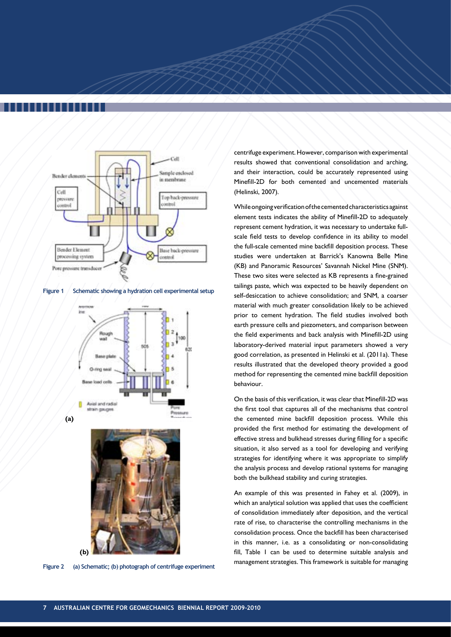

**Figure 1 Schematic showing a hydration cell experimental setup**





**Figure 2 (a) Schematic; (b) photograph of centrifuge experiment**

centrifuge experiment. However, comparison with experimental results showed that conventional consolidation and arching, and their interaction, could be accurately represented using Minefill-2D for both cemented and uncemented materials (Helinski, 2007).

While ongoing verification of the cemented characteristics against element tests indicates the ability of Minefill-2D to adequately represent cement hydration, it was necessary to undertake fullscale field tests to develop confidence in its ability to model the full-scale cemented mine backfill deposition process. These studies were undertaken at Barrick's Kanowna Belle Mine (KB) and Panoramic Resources' Savannah Nickel Mine (SNM). These two sites were selected as KB represents a fine-grained tailings paste, which was expected to be heavily dependent on self-desiccation to achieve consolidation; and SNM, a coarser material with much greater consolidation likely to be achieved prior to cement hydration. The field studies involved both earth pressure cells and piezometers, and comparison between the field experiments and back analysis with Minefill-2D using laboratory-derived material input parameters showed a very good correlation, as presented in Helinski et al. (2011a). These results illustrated that the developed theory provided a good method for representing the cemented mine backfill deposition behaviour.

On the basis of this verification, it was clear that Minefill-2D was the first tool that captures all of the mechanisms that control the cemented mine backfill deposition process. While this provided the first method for estimating the development of effective stress and bulkhead stresses during filling for a specific situation, it also served as a tool for developing and verifying strategies for identifying where it was appropriate to simplify the analysis process and develop rational systems for managing both the bulkhead stability and curing strategies.

An example of this was presented in Fahey et al. (2009), in which an analytical solution was applied that uses the coefficient of consolidation immediately after deposition, and the vertical rate of rise, to characterise the controlling mechanisms in the consolidation process. Once the backfill has been characterised in this manner, i.e. as a consolidating or non-consolidating fill, Table 1 can be used to determine suitable analysis and management strategies. This framework is suitable for managing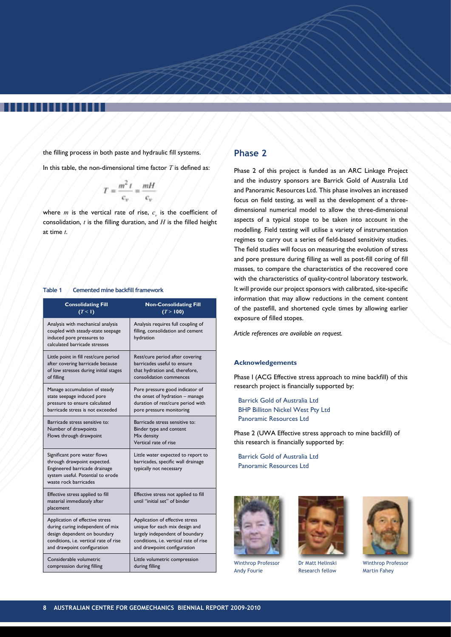the filling process in both paste and hydraulic fill systems.

In this table, the non-dimensional time factor *T* is defined as:

$$
T = \frac{m^2 t}{c_v} = \frac{mH}{c_v}
$$

where  $m$  is the vertical rate of rise,  $c<sub>v</sub>$  is the coefficient of consolidation, *t* is the filling duration, and *H* is the filled height at time *t*.

### **Table 1 Cemented mine backfill framework**

| <b>Consolidating Fill</b>                                                                                                                                  | <b>Non-Consolidating Fill</b>                                                                       |
|------------------------------------------------------------------------------------------------------------------------------------------------------------|-----------------------------------------------------------------------------------------------------|
| (T<1)                                                                                                                                                      | (T > 100)                                                                                           |
| Analysis with mechanical analysis<br>coupled with steady-state seepage<br>induced pore pressures to<br>calculated barricade stresses                       | Analysis requires full coupling of<br>filling, consolidation and cement<br>hydration                |
| Little point in fill rest/cure period                                                                                                                      | Rest/cure period after covering                                                                     |
| after covering barricade because                                                                                                                           | barricades useful to ensure                                                                         |
| of low stresses during initial stages                                                                                                                      | that hydration and, therefore,                                                                      |
| of filling                                                                                                                                                 | consolidation commences                                                                             |
| Manage accumulation of steady                                                                                                                              | Pore pressure good indicator of                                                                     |
| state seepage induced pore                                                                                                                                 | the onset of hydration - manage                                                                     |
| pressure to ensure calculated                                                                                                                              | duration of rest/cure period with                                                                   |
| barricade stress is not exceeded                                                                                                                           | pore pressure monitoring                                                                            |
| Barricade stress sensitive to:<br>Number of drawpoints<br>Flows through drawpoint                                                                          | Barricade stress sensitive to:<br>Binder type and content<br>Mix density<br>Vertical rate of rise   |
| Significant pore water flows<br>through drawpoint expected.<br>Engineered barricade drainage<br>system useful. Potential to erode<br>waste rock barricades | Little water expected to report to<br>barricades, specific wall drainage<br>typically not necessary |
| Effective stress applied to fill<br>material immediately after<br>placement                                                                                | Effective stress not applied to fill<br>until "initial set" of binder                               |
| Application of effective stress                                                                                                                            | Application of effective stress                                                                     |
| during curing independent of mix                                                                                                                           | unique for each mix design and                                                                      |
| design dependent on boundary                                                                                                                               | largely independent of boundary                                                                     |
| conditions, i.e. vertical rate of rise                                                                                                                     | conditions, i.e. vertical rate of rise                                                              |
| and drawpoint configuration                                                                                                                                | and drawpoint configuration                                                                         |
| Considerable volumetric                                                                                                                                    | Little volumetric compression                                                                       |
| compression during filling                                                                                                                                 | during filling                                                                                      |

## **Phase 2**

Phase 2 of this project is funded as an ARC Linkage Project and the industry sponsors are Barrick Gold of Australia Ltd and Panoramic Resources Ltd. This phase involves an increased focus on field testing, as well as the development of a threedimensional numerical model to allow the three-dimensional aspects of a typical stope to be taken into account in the modelling. Field testing will utilise a variety of instrumentation regimes to carry out a series of field-based sensitivity studies. The field studies will focus on measuring the evolution of stress and pore pressure during filling as well as post-fill coring of fill masses, to compare the characteristics of the recovered core with the characteristics of quality-control laboratory testwork. It will provide our project sponsors with calibrated, site-specific information that may allow reductions in the cement content of the pastefill, and shortened cycle times by allowing earlier exposure of filled stopes.

*Article references are available on request.*

### **Acknowledgements**

Phase I (ACG Effective stress approach to mine backfill) of this research project is financially supported by:

Phase 2 (UWA Effective stress approach to mine backfill) of this research is financially supported by:



Andy Fourie



Research fellow



Winthrop Professor Martin Fahey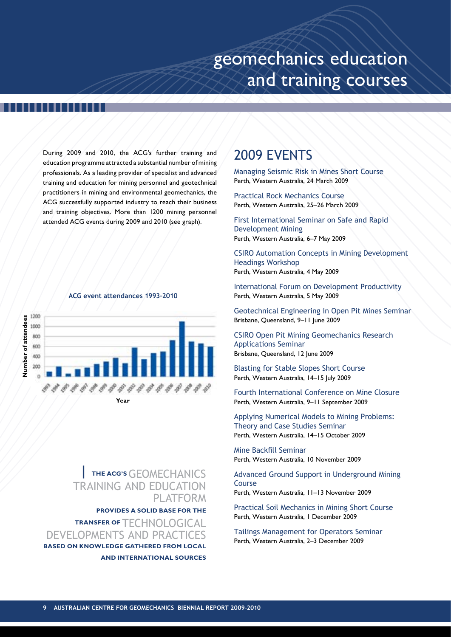## geomechanics education and training courses

During 2009 and 2010, the ACG's further training and education programme attracted a substantial number of mining professionals. As a leading provider of specialist and advanced training and education for mining personnel and geotechnical practitioners in mining and environmental geomechanics, the ACG successfully supported industry to reach their business and training objectives. More than 1200 mining personnel attended ACG events during 2009 and 2010 (see graph).

## **ACG event attendances 1993–2010**



**Year**

## **| the ACG's**Geomechanics training and education **PLATFORM**

**provides a solid base for the** 

**TRANSFER OF TECHNOLOGICAL** developments and Practices **based on knowledge gathered from local and international sources**

## 2009 EVENTS

Managing Seismic Risk in Mines Short Course Perth, Western Australia, 24 March 2009

Practical Rock Mechanics Course Perth, Western Australia, 25–26 March 2009

First International Seminar on Safe and Rapid Development Mining Perth, Western Australia, 6–7 May 2009

CSIRO Automation Concepts in Mining Development Headings Workshop Perth, Western Australia, 4 May 2009

International Forum on Development Productivity Perth, Western Australia, 5 May 2009

Geotechnical Engineering in Open Pit Mines Seminar Brisbane, Queensland, 9-11 June 2009

CSIRO Open Pit Mining Geomechanics Research Applications Seminar Brisbane, Queensland, 12 June 2009

Blasting for Stable Slopes Short Course Perth, Western Australia, 14-15 July 2009

Fourth International Conference on Mine Closure Perth, Western Australia, 9–11 September 2009

Applying Numerical Models to Mining Problems: Theory and Case Studies Seminar Perth, Western Australia, 14–15 October 2009

Mine Backfill Seminar Perth, Western Australia, 10 November 2009

Advanced Ground Support in Underground Mining Course Perth, Western Australia, 11–13 November 2009

Practical Soil Mechanics in Mining Short Course Perth, Western Australia, 1 December 2009

Tailings Management for Operators Seminar Perth, Western Australia, 2–3 December 2009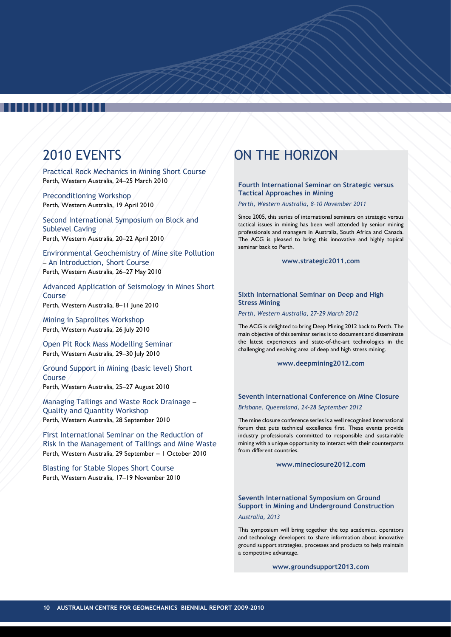## ,,,,,,,,,

## 2010 EVENTS

Practical Rock Mechanics in Mining Short Course Perth, Western Australia, 24–25 March 2010

Preconditioning Workshop Perth, Western Australia, 19 April 2010

Second International Symposium on Block and Sublevel Caving Perth, Western Australia, 20–22 April 2010

Environmental Geochemistry of Mine site Pollution – An Introduction, Short Course Perth, Western Australia, 26–27 May 2010

Advanced Application of Seismology in Mines Short Course Perth, Western Australia, 8–11 June 2010

Mining in Saprolites Workshop Perth, Western Australia, 26 July 2010

Open Pit Rock Mass Modelling Seminar Perth, Western Australia, 29-30 July 2010

Ground Support in Mining (basic level) Short Course Perth, Western Australia, 25–27 August 2010

Managing Tailings and Waste Rock Drainage – Quality and Quantity Workshop Perth, Western Australia, 28 September 2010

First International Seminar on the Reduction of Risk in the Management of Tailings and Mine Waste Perth, Western Australia, 29 September – 1 October 2010

Blasting for Stable Slopes Short Course Perth, Western Australia, 17–19 November 2010

## ON THE HORIZON

## **Fourth International Seminar on Strategic versus Tactical Approaches in Mining**

*Perth, Western Australia, 8–10 November 2011*

Since 2005, this series of international seminars on strategic versus tactical issues in mining has been well attended by senior mining professionals and managers in Australia, South Africa and Canada. The ACG is pleased to bring this innovative and highly topical seminar back to Perth.

**www.strategic2011.com**

## **Sixth International Seminar on Deep and High Stress Mining**

*Perth, Western Australia, 27–29 March 2012*

The ACG is delighted to bring Deep Mining 2012 back to Perth. The main objective of this seminar series is to document and disseminate the latest experiences and state-of-the-art technologies in the challenging and evolving area of deep and high stress mining.

**www.deepmining2012.com**

## **Seventh International Conference on Mine Closure** *Brisbane, Queensland, 24–28 September 2012*

The mine closure conference series is a well recognised international forum that puts technical excellence first. These events provide industry professionals committed to responsible and sustainable mining with a unique opportunity to interact with their counterparts from different countries.

**www.mineclosure2012.com**

## **Seventh International Symposium on Ground Support in Mining and Underground Construction** *Australia, 2013*

This symposium will bring together the top academics, operators and technology developers to share information about innovative ground support strategies, processes and products to help maintain a competitive advantage.

**www.groundsupport2013.com**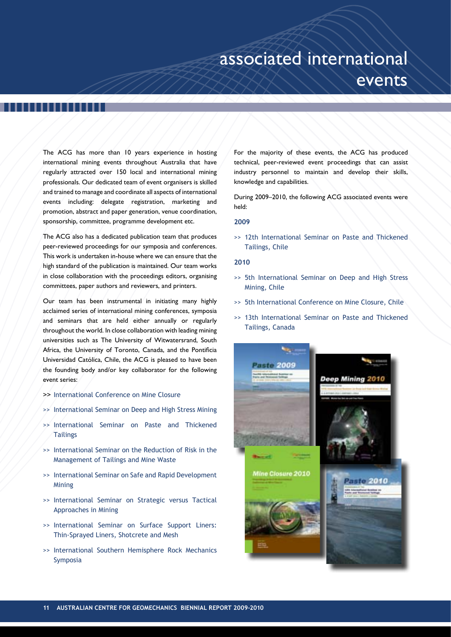## associated international events

The ACG has more than 10 years experience in hosting international mining events throughout Australia that have regularly attracted over 150 local and international mining professionals. Our dedicated team of event organisers is skilled and trained to manage and coordinate all aspects of international events including: delegate registration, marketing and promotion, abstract and paper generation, venue coordination, sponsorship, committee, programme development etc.

The ACG also has a dedicated publication team that produces peer-reviewed proceedings for our symposia and conferences. This work is undertaken in-house where we can ensure that the high standard of the publication is maintained. Our team works in close collaboration with the proceedings editors, organising committees, paper authors and reviewers, and printers.

Our team has been instrumental in initiating many highly acclaimed series of international mining conferences, symposia and seminars that are held either annually or regularly throughout the world. In close collaboration with leading mining universities such as The University of Witwatersrand, South Africa, the University of Toronto, Canada, and the Pontificia Universidad Católica, Chile, the ACG is pleased to have been the founding body and/or key collaborator for the following event series:

- >> International Conference on Mine Closure
- >> International Seminar on Deep and High Stress Mining
- >> International Seminar on Paste and Thickened **Tailings**
- >> International Seminar on the Reduction of Risk in the Management of Tailings and Mine Waste
- >> International Seminar on Safe and Rapid Development Mining
- >> International Seminar on Strategic versus Tactical Approaches in Mining
- >> International Seminar on Surface Support Liners: Thin-Sprayed Liners, Shotcrete and Mesh
- >> International Southern Hemisphere Rock Mechanics Symposia

For the majority of these events, the ACG has produced technical, peer-reviewed event proceedings that can assist industry personnel to maintain and develop their skills, knowledge and capabilities.

During 2009–2010, the following ACG associated events were held:

## **2009**

>> 12th International Seminar on Paste and Thickened Tailings, Chile

## **2010**

- >> 5th International Seminar on Deep and High Stress Mining, Chile
- >> 5th International Conference on Mine Closure, Chile
- >> 13th International Seminar on Paste and Thickened Tailings, Canada

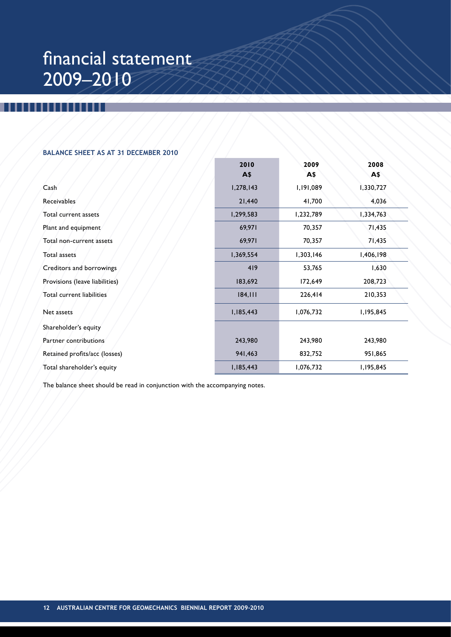## financial statement 2009–2010

## **Balance Sheet as at 31 December 2010**

|                                | 2010      | 2009      | 2008      |
|--------------------------------|-----------|-----------|-----------|
|                                | A\$       | A\$       | A\$       |
| Cash                           | 1,278,143 | 1,191,089 | 1,330,727 |
| Receivables                    | 21,440    | 41,700    | 4,036     |
| Total current assets           | 1,299,583 | 1,232,789 | 1,334,763 |
| Plant and equipment            | 69,971    | 70,357    | 71,435    |
| Total non-current assets       | 69,971    | 70,357    | 71,435    |
| <b>Total assets</b>            | 1,369,554 | 1,303,146 | 1,406,198 |
| Creditors and borrowings       | 419       | 53,765    | 1,630     |
| Provisions (leave liabilities) | 183,692   | 172,649   | 208,723   |
| Total current liabilities      | 184,111   | 226,414   | 210,353   |
| Net assets                     | 1,185,443 | 1,076,732 | 1,195,845 |
| Shareholder's equity           |           |           |           |
| Partner contributions          | 243,980   | 243,980   | 243,980   |
| Retained profits/acc (losses)  | 941,463   | 832,752   | 951,865   |
| Total shareholder's equity     | 1,185,443 | 1,076,732 | 1,195,845 |

The balance sheet should be read in conjunction with the accompanying notes.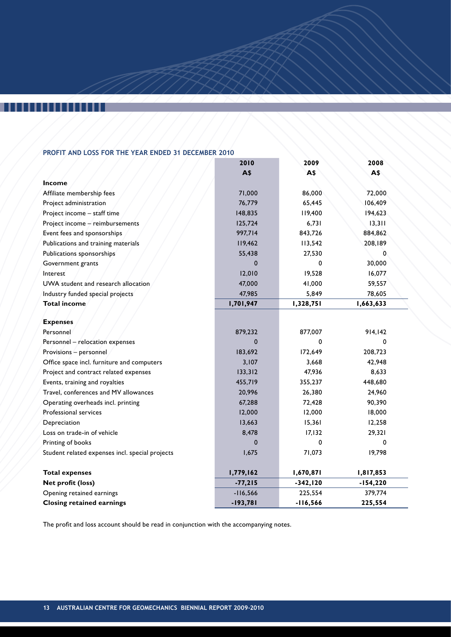H

## **Profit and Loss for the Year Ended 31 December 2010**

|                                                 | 2010         | 2009        | 2008       |  |
|-------------------------------------------------|--------------|-------------|------------|--|
|                                                 | A\$          | A\$         | A\$        |  |
| Income                                          |              |             |            |  |
| Affiliate membership fees                       | 71,000       | 86,000      | 72,000     |  |
| Project administration                          | 76,779       | 65,445      | 106,409    |  |
| Project income - staff time                     | 148,835      | 119,400     | 194,623    |  |
| Project income - reimbursements                 | 125,724      | 6,731       | 13,311     |  |
| Event fees and sponsorships                     | 997,714      | 843,726     | 884,862    |  |
| Publications and training materials             | 119,462      | 113,542     | 208,189    |  |
| Publications sponsorships                       | 55,438       | 27,530      | 0          |  |
| Government grants                               | $\Omega$     | 0           | 30,000     |  |
| Interest                                        | 12,010       | 19,528      | 16,077     |  |
| UWA student and research allocation             | 47,000       | 41,000      | 59,557     |  |
| Industry funded special projects                | 47,985       | 5,849       | 78,605     |  |
| <b>Total income</b>                             | 1,701,947    | 1,328,751   | 1,663,633  |  |
|                                                 |              |             |            |  |
| <b>Expenses</b>                                 |              |             |            |  |
| Personnel                                       | 879,232      | 877,007     | 914,142    |  |
| Personnel - relocation expenses                 | <sup>0</sup> | 0           | $\Omega$   |  |
| Provisions - personnel                          | 183,692      | 172,649     | 208,723    |  |
| Office space incl. furniture and computers      | 3,107        | 3,668       | 42,948     |  |
| Project and contract related expenses           | 133,312      | 47,936      | 8,633      |  |
| Events, training and royalties                  | 455,719      | 355,237     | 448,680    |  |
| Travel, conferences and MV allowances           | 20,996       | 26,380      | 24,960     |  |
| Operating overheads incl. printing              | 67,288       | 72,428      | 90,390     |  |
| Professional services                           | 12,000       | 12,000      | 18,000     |  |
| Depreciation                                    | 13,663       | 15,361      | 12,258     |  |
| Loss on trade-in of vehicle                     | 8,478        | 17,132      | 29,321     |  |
| Printing of books                               | $\Omega$     | 0           | 0          |  |
| Student related expenses incl. special projects | 1,675        | 71,073      | 19,798     |  |
| <b>Total expenses</b>                           | 1,779,162    | 1,670,871   | 1,817,853  |  |
| Net profit (loss)                               | $-77,215$    | $-342, 120$ | $-154,220$ |  |
| Opening retained earnings                       | $-116,566$   | 225,554     | 379,774    |  |
| <b>Closing retained earnings</b>                | $-193,781$   | $-116,566$  | 225,554    |  |

The profit and loss account should be read in conjunction with the accompanying notes.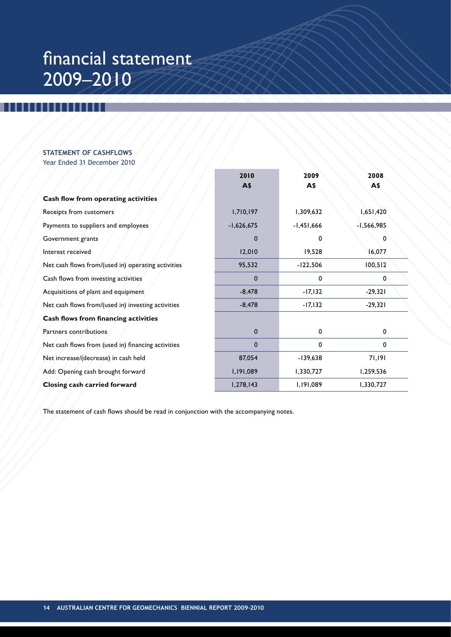## financial statement 2009–2010

## **Statement of Cashflows** Year Ended 31 December 2010

|                                                    | 2010<br>A\$  | 2009<br>A\$  | 2008<br>A\$  |
|----------------------------------------------------|--------------|--------------|--------------|
| Cash flow from operating activities                |              |              |              |
| Receipts from customers                            | 1,710,197    | 1,309,632    | 1,651,420    |
| Payments to suppliers and employees                | $-1,626,675$ | $-1,451,666$ | $-1,566,985$ |
| Government grants                                  | 0            | 0            | 0            |
| Interest received                                  | 12,010       | 19,528       | 16,077       |
| Net cash flows from/(used in) operating activities | 95,532       | $-122,506$   | 100,512      |
| Cash flows from investing activities               | 0            | 0            | 0            |
| Acquisitions of plant and equipment                | $-8,478$     | $-17,132$    | $-29,321$    |
| Net cash flows from/(used in) investing activities | $-8,478$     | $-17,132$    | $-29,321$    |
| Cash flows from financing activities               |              |              |              |
| Partners contributions                             | 0            | 0            | 0            |
| Net cash flows from (used in) financing activities | $\mathbf 0$  | 0            | $\mathbf 0$  |
| Net increase/(decrease) in cash held               | 87,054       | $-139,638$   | 71,191       |
| Add: Opening cash brought forward                  | 1,191,089    | 1,330,727    | 1,259,536    |
| Closing cash carried forward                       | 1,278,143    | 1,191,089    | 1,330,727    |

The statement of cash flows should be read in conjunction with the accompanying notes.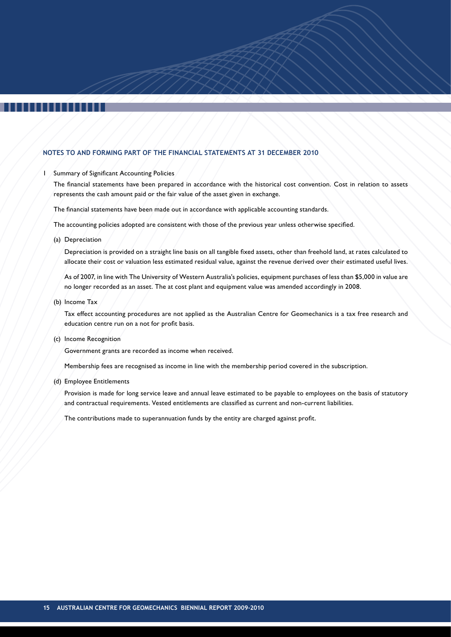## **Notes to and forming part of the financial statements at 31 December 2010**

### Summary of Significant Accounting Policies

The financial statements have been prepared in accordance with the historical cost convention. Cost in relation to assets represents the cash amount paid or the fair value of the asset given in exchange.

The financial statements have been made out in accordance with applicable accounting standards.

The accounting policies adopted are consistent with those of the previous year unless otherwise specified.

(a) Depreciation

Depreciation is provided on a straight line basis on all tangible fixed assets, other than freehold land, at rates calculated to allocate their cost or valuation less estimated residual value, against the revenue derived over their estimated useful lives.

As of 2007, in line with The University of Western Australia's policies, equipment purchases of less than \$5,000 in value are no longer recorded as an asset. The at cost plant and equipment value was amended accordingly in 2008.

(b) Income Tax

Tax effect accounting procedures are not applied as the Australian Centre for Geomechanics is a tax free research and education centre run on a not for profit basis.

(c) Income Recognition

Government grants are recorded as income when received.

Membership fees are recognised as income in line with the membership period covered in the subscription.

(d) Employee Entitlements

Provision is made for long service leave and annual leave estimated to be payable to employees on the basis of statutory and contractual requirements. Vested entitlements are classified as current and non-current liabilities.

The contributions made to superannuation funds by the entity are charged against profit.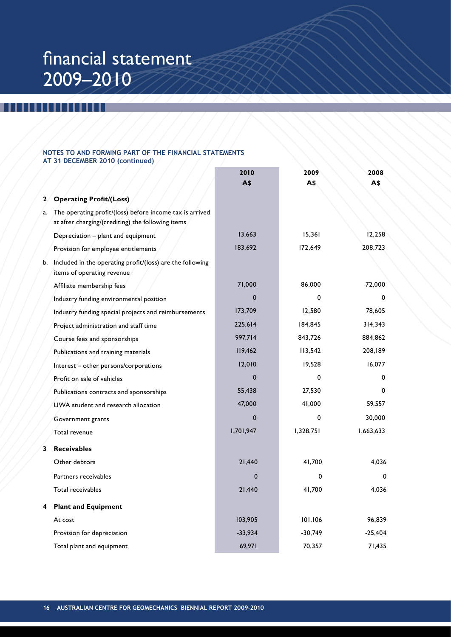## financial statement 2009–2010

## **Notes to and forming part of the financial statements at 31 December 2010 (continued)**

|    |                                                                                                               | 2010<br><b>A\$</b> | 2009<br>A\$ | 2008<br>A\$ |
|----|---------------------------------------------------------------------------------------------------------------|--------------------|-------------|-------------|
| 2  | <b>Operating Profit/(Loss)</b>                                                                                |                    |             |             |
| a. | The operating profit/(loss) before income tax is arrived<br>at after charging/(crediting) the following items |                    |             |             |
|    | Depreciation - plant and equipment                                                                            | 13,663             | 15,361      | 12,258      |
|    | Provision for employee entitlements                                                                           | 183,692            | 172,649     | 208,723     |
| b. | Included in the operating profit/(loss) are the following<br>items of operating revenue                       |                    |             |             |
|    | Affiliate membership fees                                                                                     | 71,000             | 86,000      | 72,000      |
|    | Industry funding environmental position                                                                       | $\Omega$           | 0           | $\Omega$    |
|    | Industry funding special projects and reimbursements                                                          | 173,709            | 12,580      | 78,605      |
|    | Project administration and staff time                                                                         | 225,614            | 184,845     | 314,343     |
|    | Course fees and sponsorships                                                                                  | 997,714            | 843,726     | 884,862     |
|    | Publications and training materials                                                                           | 119,462            | 113,542     | 208,189     |
|    | Interest - other persons/corporations                                                                         | 12,010             | 19,528      | 16,077      |
|    | Profit on sale of vehicles                                                                                    | 0                  | $\Omega$    | 0           |
|    | Publications contracts and sponsorships                                                                       | 55,438             | 27,530      | $\Omega$    |
|    | UWA student and research allocation                                                                           | 47,000             | 41,000      | 59,557      |
|    | Government grants                                                                                             | $\mathbf{0}$       | $\mathbf 0$ | 30,000      |
|    | Total revenue                                                                                                 | 1,701,947          | 1,328,751   | 1,663,633   |
| 3  | <b>Receivables</b>                                                                                            |                    |             |             |
|    | Other debtors                                                                                                 | 21,440             | 41,700      | 4,036       |
|    | Partners receivables                                                                                          | $\mathbf 0$        | 0           | $\Omega$    |
|    | Total receivables                                                                                             | 21,440             | 41,700      | 4.036       |
| 4  | <b>Plant and Equipment</b>                                                                                    |                    |             |             |
|    | At cost                                                                                                       | 103,905            | 101,106     | 96,839      |
|    | Provision for depreciation                                                                                    | $-33,934$          | $-30,749$   | $-25,404$   |
|    | Total plant and equipment                                                                                     | 69,971             | 70,357      | 71,435      |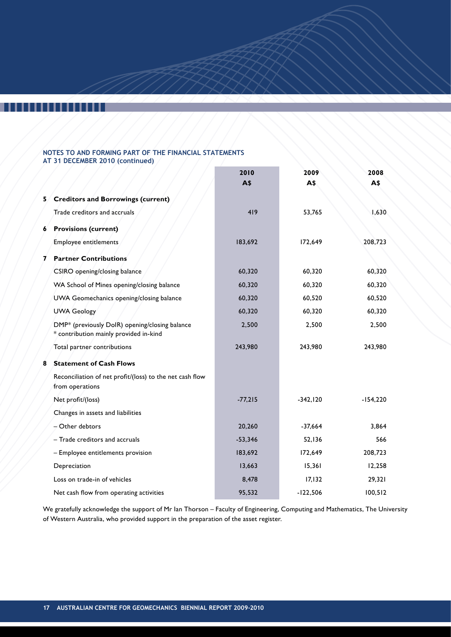## ,,,,,,,,,

## **Notes to and forming part of the financial statements at 31 December 2010 (continued)**

|    |                                                                                          | 2010<br><b>A</b> \$ | 2009<br>A\$ | 2008<br>A\$ |
|----|------------------------------------------------------------------------------------------|---------------------|-------------|-------------|
| 5. | <b>Creditors and Borrowings (current)</b>                                                |                     |             |             |
|    | Trade creditors and accruals                                                             | 419                 | 53,765      | 1,630       |
| 6  | <b>Provisions (current)</b>                                                              |                     |             |             |
|    | Employee entitlements                                                                    | 183,692             | 172,649     | 208,723     |
| 7  | <b>Partner Contributions</b>                                                             |                     |             |             |
|    | CSIRO opening/closing balance                                                            | 60,320              | 60,320      | 60,320      |
|    | WA School of Mines opening/closing balance                                               | 60,320              | 60,320      | 60,320      |
|    | UWA Geomechanics opening/closing balance                                                 | 60,320              | 60,520      | 60,520      |
|    | <b>UWA Geology</b>                                                                       | 60,320              | 60,320      | 60,320      |
|    | DMP* (previously DolR) opening/closing balance<br>* contribution mainly provided in-kind | 2,500               | 2,500       | 2,500       |
|    | Total partner contributions                                                              | 243,980             | 243,980     | 243,980     |
| 8  | <b>Statement of Cash Flows</b>                                                           |                     |             |             |
|    | Reconciliation of net profit/(loss) to the net cash flow<br>from operations              |                     |             |             |
|    | Net profit/(loss)                                                                        | $-77,215$           | $-342,120$  | $-154,220$  |
|    | Changes in assets and liabilities                                                        |                     |             |             |
|    | - Other debtors                                                                          | 20,260              | $-37,664$   | 3,864       |
|    | - Trade creditors and accruals                                                           | $-53,346$           | 52,136      | 566         |
|    | - Employee entitlements provision                                                        | 183,692             | 172,649     | 208,723     |
|    | Depreciation                                                                             | 13,663              | 15,361      | 12,258      |
|    | Loss on trade-in of vehicles                                                             | 8,478               | 17,132      | 29,321      |
|    | Net cash flow from operating activities                                                  | 95,532              | $-122,506$  | 100,512     |

We gratefully acknowledge the support of Mr Ian Thorson – Faculty of Engineering, Computing and Mathematics, The University of Western Australia, who provided support in the preparation of the asset register.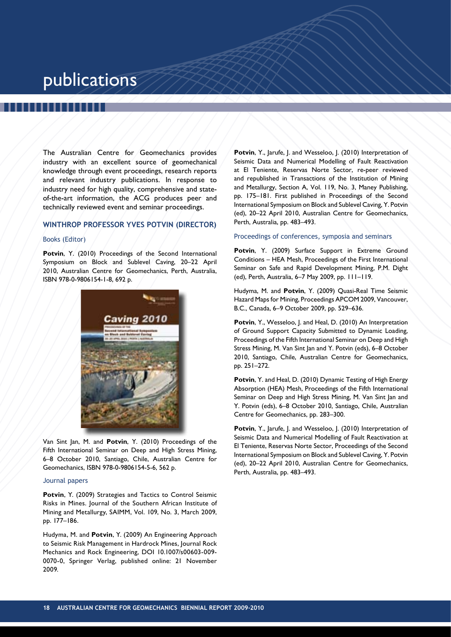## publications

The Australian Centre for Geomechanics provides industry with an excellent source of geomechanical knowledge through event proceedings, research reports and relevant industry publications. In response to industry need for high quality, comprehensive and stateof-the-art information, the ACG produces peer and technically reviewed event and seminar proceedings.

### **WINTHROP PROFESSOR YVES POTVIN (DIRECTOR)**

### Books (Editor)

Potvin, Y. (2010) Proceedings of the Second International Symposium on Block and Sublevel Caving, 20–22 April 2010, Australian Centre for Geomechanics, Perth, Australia, ISBN 978-0-9806154-1-8, 692 p.



Van Sint Jan, M. and **Potvin**, Y. (2010) Proceedings of the Fifth International Seminar on Deep and High Stress Mining, 6–8 October 2010, Santiago, Chile, Australian Centre for Geomechanics, ISBN 978-0-9806154-5-6, 562 p.

### Journal papers

**Potvin**, Y. (2009) Strategies and Tactics to Control Seismic Risks in Mines. Journal of the Southern African Institute of Mining and Metallurgy, SAIMM, Vol. 109, No. 3, March 2009, pp. 177–186.

Hudyma, M. and **Potvin**, Y. (2009) An Engineering Approach to Seismic Risk Management in Hardrock Mines, Journal Rock Mechanics and Rock Engineering, DOI 10.1007/s00603-009- 0070-0, Springer Verlag, published online: 21 November 2009.

Potvin, Y., Jarufe, J. and Wesseloo, J. (2010) Interpretation of Seismic Data and Numerical Modelling of Fault Reactivation at El Teniente, Reservas Norte Sector, re-peer reviewed and republished in Transactions of the Institution of Mining and Metallurgy, Section A, Vol. 119, No. 3, Maney Publishing, pp. 175–181. First published in Proceedings of the Second International Symposium on Block and Sublevel Caving, Y. Potvin (ed), 20–22 April 2010, Australian Centre for Geomechanics, Perth, Australia, pp. 483–493.

## Proceedings of conferences, symposia and seminars

Potvin, Y. (2009) Surface Support in Extreme Ground Conditions – HEA Mesh, Proceedings of the First International Seminar on Safe and Rapid Development Mining, P.M. Dight (ed), Perth, Australia, 6–7 May 2009, pp. 111–119.

Hudyma, M. and **Potvin**, Y. (2009) Quasi-Real Time Seismic Hazard Maps for Mining, Proceedings APCOM 2009, Vancouver, B.C., Canada, 6–9 October 2009, pp. 529–636.

**Potvin**, Y., Wesseloo, J. and Heal, D. (2010) An Interpretation of Ground Support Capacity Submitted to Dynamic Loading, Proceedings of the Fifth International Seminar on Deep and High Stress Mining, M. Van Sint Jan and Y. Potvin (eds), 6–8 October 2010, Santiago, Chile, Australian Centre for Geomechanics, pp. 251–272.

**Potvin**, Y. and Heal, D. (2010) Dynamic Testing of High Energy Absorption (HEA) Mesh, Proceedings of the Fifth International Seminar on Deep and High Stress Mining, M. Van Sint Jan and Y. Potvin (eds), 6–8 October 2010, Santiago, Chile, Australian Centre for Geomechanics, pp. 283–300.

Potvin, Y., Jarufe, J. and Wesseloo, J. (2010) Interpretation of Seismic Data and Numerical Modelling of Fault Reactivation at El Teniente, Reservas Norte Sector, Proceedings of the Second International Symposium on Block and Sublevel Caving, Y. Potvin (ed), 20–22 April 2010, Australian Centre for Geomechanics, Perth, Australia, pp. 483–493.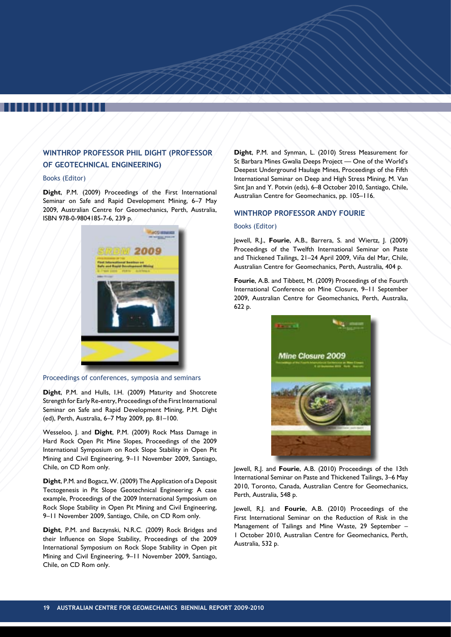## **WINTHROP PROFESSOR PHIL DIGHT (PROFESSOR OF GEOTECHNICAL ENGINEERING)**

## Books (Editor)

**Dight**, P.M. (2009) Proceedings of the First International Seminar on Safe and Rapid Development Mining, 6–7 May 2009, Australian Centre for Geomechanics, Perth, Australia, ISBN 978-0-9804185-7-6, 239 p.



Proceedings of conferences, symposia and seminars

**Dight**, P.M. and Hulls, I.H. (2009) Maturity and Shotcrete Strength for Early Re-entry, Proceedings of the First International Seminar on Safe and Rapid Development Mining, P.M. Dight (ed), Perth, Australia, 6–7 May 2009, pp. 81–100.

Wesseloo, J. and **Dight**, P.M. (2009) Rock Mass Damage in Hard Rock Open Pit Mine Slopes, Proceedings of the 2009 International Symposium on Rock Slope Stability in Open Pit Mining and Civil Engineering, 9–11 November 2009, Santiago, Chile, on CD Rom only.

**Dight**, P.M. and Bogacz, W. (2009) The Application of a Deposit Tectogenesis in Pit Slope Geotechnical Engineering: A case example, Proceedings of the 2009 International Symposium on Rock Slope Stability in Open Pit Mining and Civil Engineering, 9–11 November 2009, Santiago, Chile, on CD Rom only.

**Dight**, P.M. and Baczynski, N.R.C. (2009) Rock Bridges and their Influence on Slope Stability, Proceedings of the 2009 International Symposium on Rock Slope Stability in Open pit Mining and Civil Engineering, 9–11 November 2009, Santiago, Chile, on CD Rom only.

**Dight**, P.M. and Synman, L. (2010) Stress Measurement for St Barbara Mines Gwalia Deeps Project — One of the World's Deepest Underground Haulage Mines, Proceedings of the Fifth International Seminar on Deep and High Stress Mining, M. Van Sint Jan and Y. Potvin (eds), 6–8 October 2010, Santiago, Chile, Australian Centre for Geomechanics, pp. 105–116.

## **WINTHROP PROFESSOR ANDY FOURIE**

## Books (Editor)

Jewell, R.J., **Fourie**, A.B., Barrera, S. and Wiertz, J. (2009) Proceedings of the Twelfth International Seminar on Paste and Thickened Tailings, 21–24 April 2009, Viña del Mar, Chile, Australian Centre for Geomechanics, Perth, Australia, 404 p.

**Fourie**, A.B. and Tibbett, M. (2009) Proceedings of the Fourth International Conference on Mine Closure, 9–11 September 2009, Australian Centre for Geomechanics, Perth, Australia, 622 p.



Jewell, R.J. and **Fourie**, A.B. (2010) Proceedings of the 13th International Seminar on Paste and Thickened Tailings, 3–6 May 2010, Toronto, Canada, Australian Centre for Geomechanics, Perth, Australia, 548 p.

Jewell, R.J. and **Fourie**, A.B. (2010) Proceedings of the First International Seminar on the Reduction of Risk in the Management of Tailings and Mine Waste, 29 September – 1 October 2010, Australian Centre for Geomechanics, Perth, Australia, 532 p.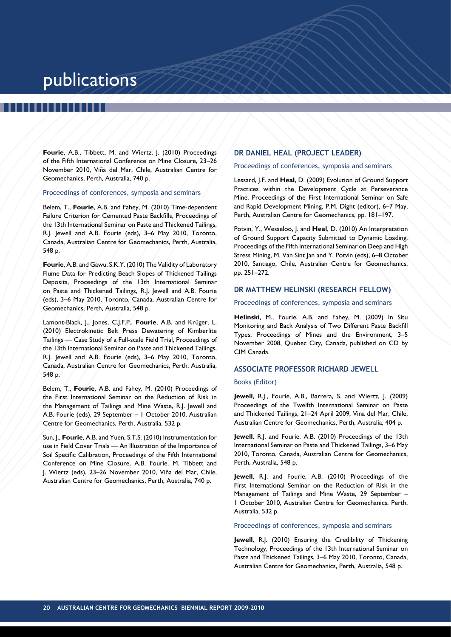## publications

,,,,,,,

**Fourie**, A.B., Tibbett, M. and Wiertz, J. (2010) Proceedings of the Fifth International Conference on Mine Closure, 23–26 November 2010, Viña del Mar, Chile, Australian Centre for Geomechanics, Perth, Australia, 740 p.

Proceedings of conferences, symposia and seminars

Belem, T., **Fourie**, A.B. and Fahey, M. (2010) Time-dependent Failure Criterion for Cemented Paste Backfills, Proceedings of the 13th International Seminar on Paste and Thickened Tailings, R.J. Jewell and A.B. Fourie (eds), 3–6 May 2010, Toronto, Canada, Australian Centre for Geomechanics, Perth, Australia, 548 p.

**Fourie**, A.B. and Gawu, S.K.Y. (2010) The Validity of Laboratory Flume Data for Predicting Beach Slopes of Thickened Tailings Deposits, Proceedings of the 13th International Seminar on Paste and Thickened Tailings, R.J. Jewell and A.B. Fourie (eds), 3–6 May 2010, Toronto, Canada, Australian Centre for Geomechanics, Perth, Australia, 548 p.

Lamont-Black, J., Jones, C.J.F.P., **Fourie**, A.B. and Krüger, L. (2010) Electrokinetic Belt Press Dewatering of Kimberlite Tailings — Case Study of a Full-scale Field Trial, Proceedings of the 13th International Seminar on Paste and Thickened Tailings, R.J. Jewell and A.B. Fourie (eds), 3–6 May 2010, Toronto, Canada, Australian Centre for Geomechanics, Perth, Australia, 548 p.

Belem, T., **Fourie**, A.B. and Fahey, M. (2010) Proceedings of the First International Seminar on the Reduction of Risk in the Management of Tailings and Mine Waste, R.J. Jewell and A.B. Fourie (eds), 29 September – 1 October 2010, Australian Centre for Geomechanics, Perth, Australia, 532 p.

Sun, J., **Fourie**, A.B. and Yuen, S.T.S. (2010) Instrumentation for use in Field Cover Trials — An Illustration of the Importance of Soil Specific Calibration, Proceedings of the Fifth International Conference on Mine Closure, A.B. Fourie, M. Tibbett and J. Wiertz (eds), 23–26 November 2010, Viña del Mar, Chile, Australian Centre for Geomechanics, Perth, Australia, 740 p.

## **DR DANIEL HEAL (PROJECT LEADER)**

### Proceedings of conferences, symposia and seminars

Lessard, J.F. and **Heal**, D. (2009) Evolution of Ground Support Practices within the Development Cycle at Perseverance Mine, Proceedings of the First International Seminar on Safe and Rapid Development Mining, P.M. Dight (editor), 6–7 May, Perth, Australian Centre for Geomechanics, pp. 181–197.

Potvin, Y., Wesseloo, J. and **Heal**, D. (2010) An Interpretation of Ground Support Capacity Submitted to Dynamic Loading, Proceedings of the Fifth International Seminar on Deep and High Stress Mining, M. Van Sint Jan and Y. Potvin (eds), 6–8 October 2010, Santiago, Chile, Australian Centre for Geomechanics, pp. 251–272.

## **DR MATTHEW HELINSKI (RESEARCH FELLOW)**

### Proceedings of conferences, symposia and seminars

**Helinski**, M., Fourie, A.B. and Fahey, M. (2009) In Situ Monitoring and Back Analysis of Two Different Paste Backfill Types, Proceedings of Mines and the Environment, 3–5 November 2008, Quebec City, Canada, published on CD by CIM Canada.

## **ASSOCIATE PROFESSOR RICHARD JEWELL**

### Books (Editor)

**Jewell**, R.J., Fourie, A.B., Barrera, S. and Wiertz, J. (2009) Proceedings of the Twelfth International Seminar on Paste and Thickened Tailings, 21–24 April 2009, Vina del Mar, Chile, Australian Centre for Geomechanics, Perth, Australia, 404 p.

**Jewell**, R.J. and Fourie, A.B. (2010) Proceedings of the 13th International Seminar on Paste and Thickened Tailings, 3–6 May 2010, Toronto, Canada, Australian Centre for Geomechanics, Perth, Australia, 548 p.

**Jewell**, R.J. and Fourie, A.B. (2010) Proceedings of the First International Seminar on the Reduction of Risk in the Management of Tailings and Mine Waste, 29 September – 1 October 2010, Australian Centre for Geomechanics, Perth, Australia, 532 p.

Proceedings of conferences, symposia and seminars

**Jewell**, R.J. (2010) Ensuring the Credibility of Thickening Technology, Proceedings of the 13th International Seminar on Paste and Thickened Tailings, 3–6 May 2010, Toronto, Canada, Australian Centre for Geomechanics, Perth, Australia, 548 p.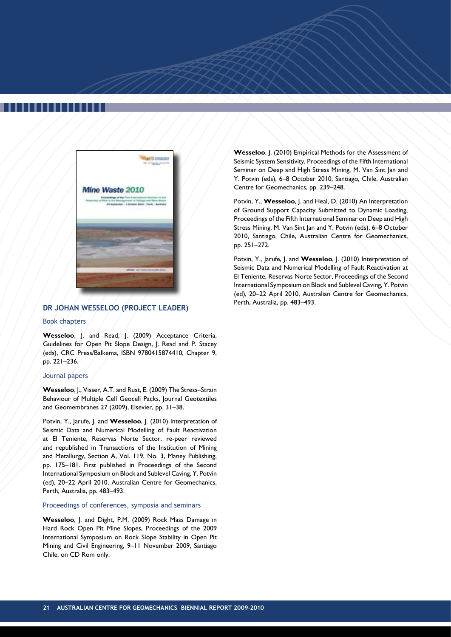

## **DR JOHAN WESSELOO (PROJECT LEADER)**

### Book chapters

**Wesseloo**, J. and Read, J. (2009) Acceptance Criteria, Guidelines for Open Pit Slope Design, J. Read and P. Stacey (eds), CRC Press/Balkema, ISBN 9780415874410, Chapter 9, pp. 221–236.

### Journal papers

**Wesseloo**, J., Visser, A.T. and Rust, E. (2009) The Stress–Strain Behaviour of Multiple Cell Geocell Packs, Journal Geotextiles and Geomembranes 27 (2009), Elsevier, pp. 31–38.

Potvin, Y., Jarufe, J. and **Wesseloo**, J. (2010) Interpretation of Seismic Data and Numerical Modelling of Fault Reactivation at El Teniente, Reservas Norte Sector, re-peer reviewed and republished in Transactions of the Institution of Mining and Metallurgy, Section A, Vol. 119, No. 3, Maney Publishing, pp. 175–181. First published in Proceedings of the Second International Symposium on Block and Sublevel Caving, Y. Potvin (ed), 20–22 April 2010, Australian Centre for Geomechanics, Perth, Australia, pp. 483–493.

## Proceedings of conferences, symposia and seminars

**Wesseloo**, J. and Dight, P.M. (2009) Rock Mass Damage in Hard Rock Open Pit Mine Slopes, Proceedings of the 2009 International Symposium on Rock Slope Stability in Open Pit Mining and Civil Engineering, 9–11 November 2009, Santiago Chile, on CD Rom only.

**Wesseloo**, J. (2010) Empirical Methods for the Assessment of Seismic System Sensitivity, Proceedings of the Fifth International Seminar on Deep and High Stress Mining, M. Van Sint Jan and Y. Potvin (eds), 6–8 October 2010, Santiago, Chile, Australian Centre for Geomechanics, pp. 239–248.

Potvin, Y., **Wesseloo**, J. and Heal, D. (2010) An Interpretation of Ground Support Capacity Submitted to Dynamic Loading, Proceedings of the Fifth International Seminar on Deep and High Stress Mining, M. Van Sint Jan and Y. Potvin (eds), 6–8 October 2010, Santiago, Chile, Australian Centre for Geomechanics, pp. 251–272.

Potvin, Y., Jarufe, J. and **Wesseloo**, J. (2010) Interpretation of Seismic Data and Numerical Modelling of Fault Reactivation at El Teniente, Reservas Norte Sector, Proceedings of the Second International Symposium on Block and Sublevel Caving, Y. Potvin (ed), 20–22 April 2010, Australian Centre for Geomechanics, Perth, Australia, pp. 483–493.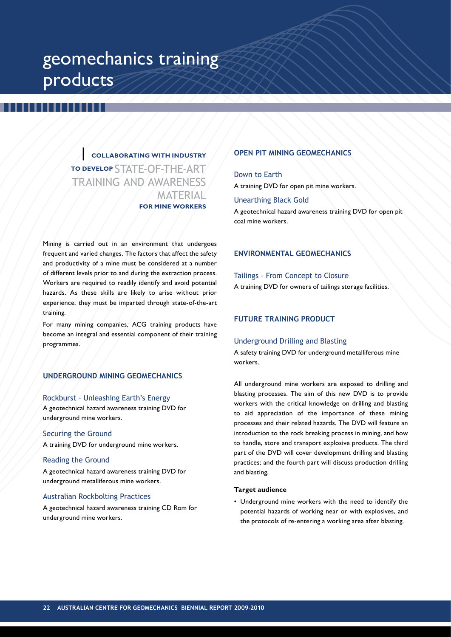## geomechanics training products

**| collaborating with industry to develop STATE-OF-THE-ART** training and awareness **MATERIAL for mine workers**

Mining is carried out in an environment that undergoes frequent and varied changes. The factors that affect the safety and productivity of a mine must be considered at a number of different levels prior to and during the extraction process. Workers are required to readily identify and avoid potential hazards. As these skills are likely to arise without prior experience, they must be imparted through state-of-the-art training.

For many mining companies, ACG training products have become an integral and essential component of their training programmes.

## **UNDERGROUND MINING GEOMECHANICS**

## Rockburst – Unleashing Earth's Energy

A geotechnical hazard awareness training DVD for underground mine workers.

## Securing the Ground

A training DVD for underground mine workers.

### Reading the Ground

A geotechnical hazard awareness training DVD for underground metalliferous mine workers.

## Australian Rockbolting Practices

A geotechnical hazard awareness training CD Rom for underground mine workers.

## **OPEN PIT MINING GEOMECHANICS**

Down to Earth A training DVD for open pit mine workers.

## Unearthing Black Gold

A geotechnical hazard awareness training DVD for open pit coal mine workers.

## **ENVIRONMENTAL GEOMECHANICS**

## Tailings – From Concept to Closure

A training DVD for owners of tailings storage facilities.

## **FUTURE TRAINING PRODUCT**

### Underground Drilling and Blasting

A safety training DVD for underground metalliferous mine workers.

All underground mine workers are exposed to drilling and blasting processes. The aim of this new DVD is to provide workers with the critical knowledge on drilling and blasting to aid appreciation of the importance of these mining processes and their related hazards. The DVD will feature an introduction to the rock breaking process in mining, and how to handle, store and transport explosive products. The third part of the DVD will cover development drilling and blasting practices; and the fourth part will discuss production drilling and blasting.

### **Target audience**

• Underground mine workers with the need to identify the potential hazards of working near or with explosives, and the protocols of re-entering a working area after blasting.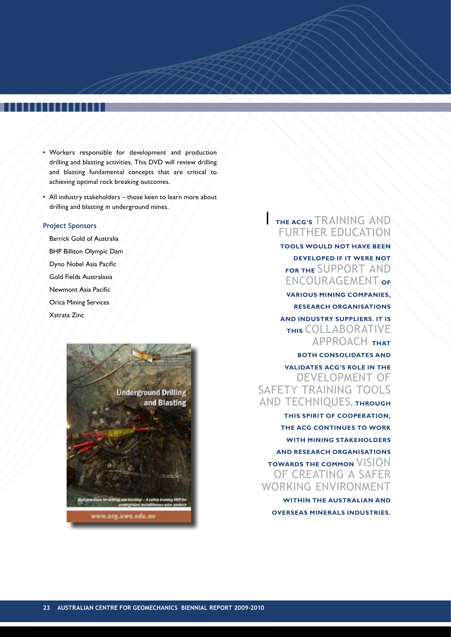- Workers responsible for development and production drilling and blasting activities. This DVD will review drilling and blasting fundamental concepts that are critical to achieving optimal rock breaking outcomes.
- All industry stakeholders those keen to learn more about drilling and blasting in underground mines.

## **Project Sponsors**

Barrick Gold of Australia BHP Billiton Olympic Dam Dyno Nobel Asia Pacific Gold Fields Australasia Newmont Asia Pacific Orica Mining Services Xstrata Zinc



## **| The ACG's** training and further education

**tools would not have been developed if it were not FOR THE SUPPORT AND** encouragement **of**

**various mining companies, research organisations and industry suppliers. It is this** collaborative approach **that** 

## **both consolidates and**

**validates ACG's role in the** development of safety training tools and techniques**. Through** 

**this spirit of cooperation, the ACG continues to work with mining stakeholders and research organisations TOWARDS THE COMMON VISION** of creating a safer working environment

**within the Australian and overseas minerals industries.**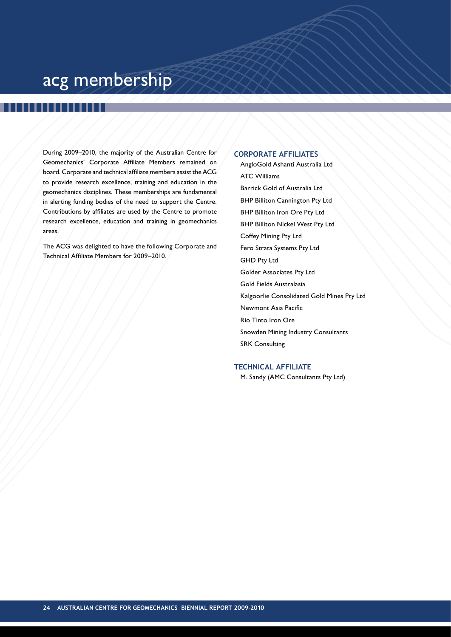## acg membership

During 2009–2010, the majority of the Australian Centre for Geomechanics' Corporate Affiliate Members remained on board. Corporate and technical affiliate members assist the ACG to provide research excellence, training and education in the geomechanics disciplines. These memberships are fundamental in alerting funding bodies of the need to support the Centre. Contributions by affiliates are used by the Centre to promote research excellence, education and training in geomechanics areas.

The ACG was delighted to have the following Corporate and Technical Affiliate Members for 2009–2010.

## **Corporate Affiliates**

AngloGold Ashanti Australia Ltd ATC Williams Barrick Gold of Australia Ltd BHP Billiton Cannington Pty Ltd BHP Billiton Iron Ore Pty Ltd BHP Billiton Nickel West Pty Ltd Coffey Mining Pty Ltd Fero Strata Systems Pty Ltd GHD Pty Ltd Golder Associates Pty Ltd Gold Fields Australasia Kalgoorlie Consolidated Gold Mines Pty Ltd Newmont Asia Pacific Rio Tinto Iron Ore Snowden Mining Industry Consultants SRK Consulting

## **Technical Affiliate**

M. Sandy (AMC Consultants Pty Ltd)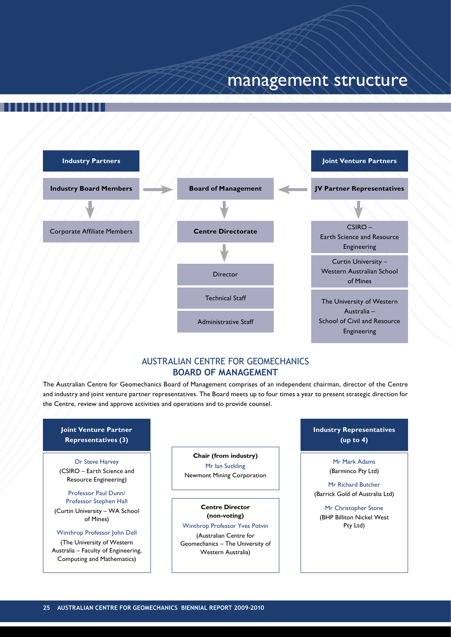## management structure



## Australian Centre for Geomechanics **Board of Management**

The Australian Centre for Geomechanics Board of Management comprises of an independent chairman, director of the Centre and industry and joint venture partner representatives. The Board meets up to four times a year to present strategic direction for the Centre, review and approve activities and operations and to provide counsel.

## **Joint Venture Partner Representatives (3)**

Dr Steve Harvey (CSIRO – Earth Science and Resource Engineering)

## Professor Paul Dunn/

Professor Stephen Hall (Curtin University – WA School of Mines)

## Winthrop Professor John Dell

(The University of Western Australia – Faculty of Engineering, Computing and Mathematics)

## **Chair (from industry)**

Mr Ian Suckling Newmont Mining Corporation

## **Centre Director**

**(non-voting)** Winthrop Professor Yves Potvin (Australian Centre for Geomechanics – The University of Western Australia)

**Industry Representatives (up to 4)**

> Mr Mark Adams (Barminco Pty Ltd)

Mr Richard Butcher (Barrick Gold of Australia Ltd)

Mr Christopher Stone (BHP Billiton Nickel West Pty Ltd)